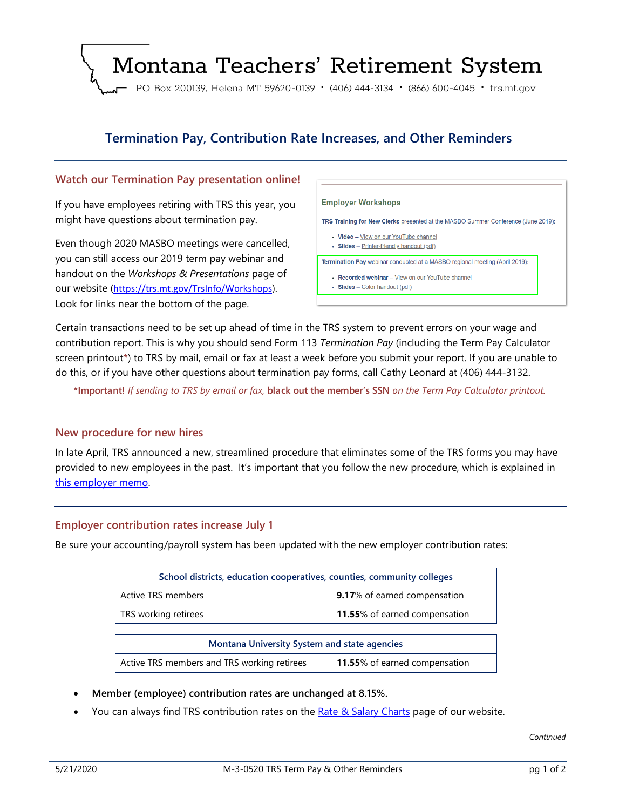# Montana Teachers' Retirement System

PO Box 200139, Helena MT 59620-0139 · (406) 444-3134 · (866) 600-4045 · trs.mt.gov

# **Termination Pay, Contribution Rate Increases, and Other Reminders**

#### **Watch our Termination Pay presentation online!**

If you have employees retiring with TRS this year, you might have questions about termination pay.

Even though 2020 MASBO meetings were cancelled, you can still access our 2019 term pay webinar and handout on the *Workshops & Presentations* page of our website (<https://trs.mt.gov/TrsInfo/Workshops>). Look for links near the bottom of the page.

**Employer Workshops** TRS Training for New Clerks presented at the MASBO Summer Conference (June 2019): • Video - View on our YouTube channel • Slides - Printer-friendly handout (pdf) Termination Pay webinar conducted at a MASBO regional meeting (April 2019): • Recorded webinar - View on our YouTube channel • Slides - Color handout (pdf)

Certain transactions need to be set up ahead of time in the TRS system to prevent errors on your wage and contribution report. This is why you should send Form 113 *Termination Pay* (including the Term Pay Calculator screen printout**\***) to TRS by mail, email or fax at least a week before you submit your report. If you are unable to do this, or if you have other questions about termination pay forms, call Cathy Leonard at (406) 444-3132.

**\*Important!** *If sending to TRS by email or fax,* **black out the member's SSN** *on the Term Pay Calculator printout.*

#### **New procedure for new hires**

In late April, TRS announced a new, streamlined procedure that eliminates some of the TRS forms you may have provided to new employees in the past. It's important that you follow the new procedure, which is explained in [this employer memo.](https://trs.mt.gov/miscellaneous/PdfFiles/Forms/TRS_NewHire_Procedure.pdf)

#### **Employer contribution rates increase July 1**

Be sure your accounting/payroll system has been updated with the new employer contribution rates:

| School districts, education cooperatives, counties, community colleges |                               |
|------------------------------------------------------------------------|-------------------------------|
| Active TRS members                                                     | 9.17% of earned compensation  |
| TRS working retirees                                                   | 11.55% of earned compensation |

| <b>Montana University System and state agencies</b> |                               |
|-----------------------------------------------------|-------------------------------|
| Active TRS members and TRS working retirees         | 11.55% of earned compensation |

- **Member (employee) contribution rates are unchanged at 8.15%.**
- You can always find TRS contribution rates on the [Rate & Salary Charts](https://trs.mt.gov/TrsInfo/RatesCharts) page of our website.

*Continued*